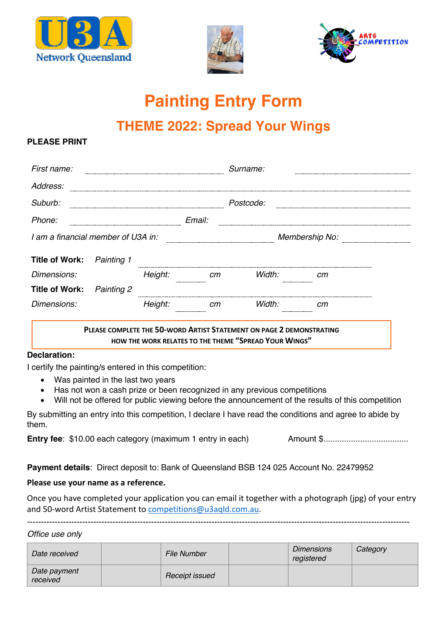





# **Painting Entry Form**

## **THEME 2022: Spread Your Wings**

#### **PLEASE PRINT**

| First name:                        |            |         |        | Surname:       |    |  |
|------------------------------------|------------|---------|--------|----------------|----|--|
| Address:                           |            |         |        |                |    |  |
| Suburb:                            |            |         |        | Postcode:      |    |  |
| Phone:                             |            |         | Email: |                |    |  |
| I am a financial member of U3A in: |            |         |        | Membership No: |    |  |
| <b>Title of Work:</b>              | Painting 1 |         |        |                |    |  |
| Dimensions:                        |            | Height: | cm     | Width:         | cт |  |
| <b>Title of Work:</b>              | Painting 2 |         |        |                |    |  |
| Dimensions:                        |            | Height: | cm     | Width:         | cт |  |
|                                    |            |         |        |                |    |  |

#### **PLEASE COMPLETE THE 50-WORD ARTIST STATEMENT ON PAGE 2 DEMONSTRATING HOW THE WORK RELATES TO THE THEME "SPREAD YOUR WINGS"**

#### **Declaration:**

I certify the painting/s entered in this competition:

- Was painted in the last two years
- Has not won a cash prize or been recognized in any previous competitions

-------------------------------------------------------------------------------------------------------------------------------------------

• Will not be offered for public viewing before the announcement of the results of this competition

By submitting an entry into this competition, I declare I have read the conditions and agree to abide by them.

**Entry fee**: \$10.00 each category (maximum 1 entry in each) Amount \$.....................................

**Payment details**: Direct deposit to: Bank of Queensland BSB 124 025 Account No. 22479952

#### **Please use your name as a reference.**

Once you have completed your application you can email it together with a photograph (jpg) of your entry and 50-word Artist Statement to competitions@u3aqld.com.au.

*Office use only*

| Date received            | <b>File Number</b> | <b>Dimensions</b><br>registered | Category |
|--------------------------|--------------------|---------------------------------|----------|
| Date payment<br>received | Receipt issued     |                                 |          |